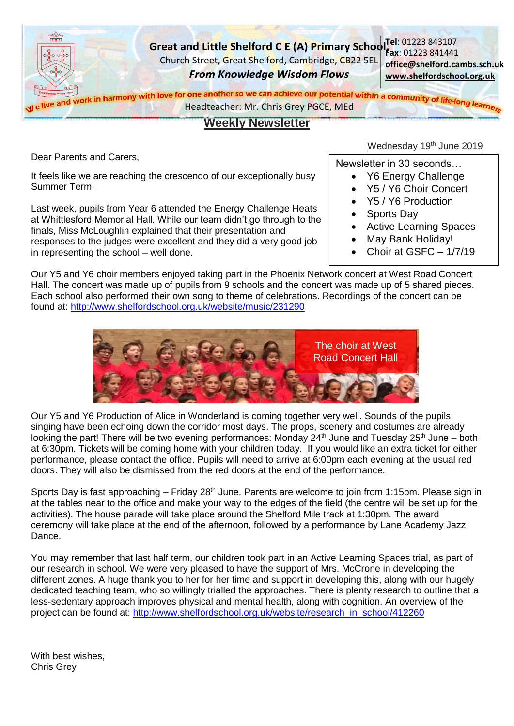

# **Weekly Newsletter**

Dear Parents and Carers,

It feels like we are reaching the crescendo of our exceptionally busy Summer Term.

Last week, pupils from Year 6 attended the Energy Challenge Heats at Whittlesford Memorial Hall. While our team didn't go through to the finals, Miss McLoughlin explained that their presentation and responses to the judges were excellent and they did a very good job in representing the school – well done.

# Wednesday 19<sup>th</sup> June 2019

Newsletter in 30 seconds…

- Y6 Energy Challenge
- Y5 / Y6 Choir Concert
- Y5 / Y6 Production
- Sports Day
- Active Learning Spaces
- May Bank Holiday!
- Choir at GSFC 1/7/19

Our Y5 and Y6 choir members enjoyed taking part in the Phoenix Network concert at West Road Concert Hall. The concert was made up of pupils from 9 schools and the concert was made up of 5 shared pieces. Each school also performed their own song to theme of celebrations. Recordings of the concert can be found at: <http://www.shelfordschool.org.uk/website/music/231290>



Our Y5 and Y6 Production of Alice in Wonderland is coming together very well. Sounds of the pupils singing have been echoing down the corridor most days. The props, scenery and costumes are already looking the part! There will be two evening performances: Monday 24<sup>th</sup> June and Tuesday 25<sup>th</sup> June – both at 6:30pm. Tickets will be coming home with your children today. If you would like an extra ticket for either performance, please contact the office. Pupils will need to arrive at 6:00pm each evening at the usual red doors. They will also be dismissed from the red doors at the end of the performance.

Sports Day is fast approaching – Friday 28<sup>th</sup> June. Parents are welcome to join from 1:15pm. Please sign in at the tables near to the office and make your way to the edges of the field (the centre will be set up for the activities). The house parade will take place around the Shelford Mile track at 1:30pm. The award ceremony will take place at the end of the afternoon, followed by a performance by Lane Academy Jazz Dance.

You may remember that last half term, our children took part in an Active Learning Spaces trial, as part of our research in school. We were very pleased to have the support of Mrs. McCrone in developing the different zones. A huge thank you to her for her time and support in developing this, along with our hugely dedicated teaching team, who so willingly trialled the approaches. There is plenty research to outline that a less-sedentary approach improves physical and mental health, along with cognition. An overview of the project can be found at: [http://www.shelfordschool.org.uk/website/research\\_in\\_school/412260](http://www.shelfordschool.org.uk/website/research_in_school/412260)

With best wishes, Chris Grey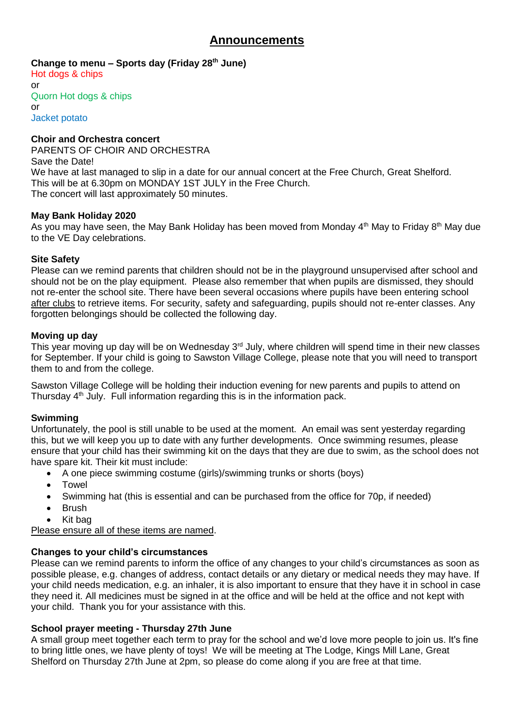# **Announcements**

**Change to menu – Sports day (Friday 28th June)**

Hot dogs & chips or Quorn Hot dogs & chips or Jacket potato

## **Choir and Orchestra concert**

PARENTS OF CHOIR AND ORCHESTRA Save the Date! We have at last managed to slip in a date for our annual concert at the Free Church, Great Shelford. This will be at 6.30pm on MONDAY 1ST JULY in the Free Church. The concert will last approximately 50 minutes.

## **May Bank Holiday 2020**

As you may have seen, the May Bank Holiday has been moved from Monday 4<sup>th</sup> May to Friday 8<sup>th</sup> May due to the VE Day celebrations.

## **Site Safety**

Please can we remind parents that children should not be in the playground unsupervised after school and should not be on the play equipment. Please also remember that when pupils are dismissed, they should not re-enter the school site. There have been several occasions where pupils have been entering school after clubs to retrieve items. For security, safety and safeguarding, pupils should not re-enter classes. Any forgotten belongings should be collected the following day.

#### **Moving up day**

This year moving up day will be on Wednesday 3<sup>rd</sup> July, where children will spend time in their new classes for September. If your child is going to Sawston Village College, please note that you will need to transport them to and from the college.

Sawston Village College will be holding their induction evening for new parents and pupils to attend on Thursday  $4<sup>th</sup>$  July. Full information regarding this is in the information pack.

## **Swimming**

Unfortunately, the pool is still unable to be used at the moment. An email was sent yesterday regarding this, but we will keep you up to date with any further developments. Once swimming resumes, please ensure that your child has their swimming kit on the days that they are due to swim, as the school does not have spare kit. Their kit must include:

- A one piece swimming costume (girls)/swimming trunks or shorts (boys)
- Towel
- Swimming hat (this is essential and can be purchased from the office for 70p, if needed)
- Brush
- Kit bag

Please ensure all of these items are named.

## **Changes to your child's circumstances**

Please can we remind parents to inform the office of any changes to your child's circumstances as soon as possible please, e.g. changes of address, contact details or any dietary or medical needs they may have. If your child needs medication, e.g. an inhaler, it is also important to ensure that they have it in school in case they need it. All medicines must be signed in at the office and will be held at the office and not kept with your child. Thank you for your assistance with this.

## **School prayer meeting - Thursday 27th June**

A small group meet together each term to pray for the school and we'd love more people to join us. It's fine to bring little ones, we have plenty of toys! We will be meeting at The Lodge, Kings Mill Lane, Great Shelford on Thursday 27th June at 2pm, so please do come along if you are free at that time.